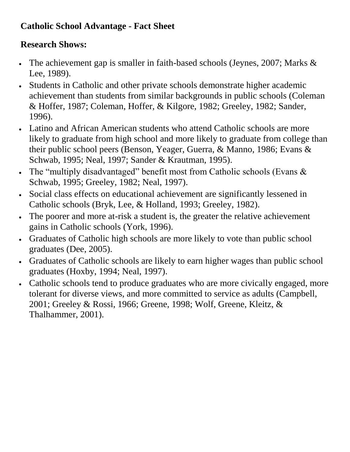## **Catholic School Advantage - Fact Sheet**

## **Research Shows:**

- The achievement gap is smaller in faith-based schools (Jeynes, 2007; Marks & Lee, 1989).
- Students in Catholic and other private schools demonstrate higher academic achievement than students from similar backgrounds in public schools (Coleman & Hoffer, 1987; Coleman, Hoffer, & Kilgore, 1982; Greeley, 1982; Sander, 1996).
- Latino and African American students who attend Catholic schools are more likely to graduate from high school and more likely to graduate from college than their public school peers (Benson, Yeager, Guerra, & Manno, 1986; Evans & Schwab, 1995; Neal, 1997; Sander & Krautman, 1995).
- The "multiply disadvantaged" benefit most from Catholic schools (Evans & Schwab, 1995; Greeley, 1982; Neal, 1997).
- Social class effects on educational achievement are significantly lessened in Catholic schools (Bryk, Lee, & Holland, 1993; Greeley, 1982).
- The poorer and more at-risk a student is, the greater the relative achievement gains in Catholic schools (York, 1996).
- Graduates of Catholic high schools are more likely to vote than public school graduates (Dee, 2005).
- Graduates of Catholic schools are likely to earn higher wages than public school graduates (Hoxby, 1994; Neal, 1997).
- Catholic schools tend to produce graduates who are more civically engaged, more tolerant for diverse views, and more committed to service as adults (Campbell, 2001; Greeley & Rossi, 1966; Greene, 1998; Wolf, Greene, Kleitz, & Thalhammer, 2001).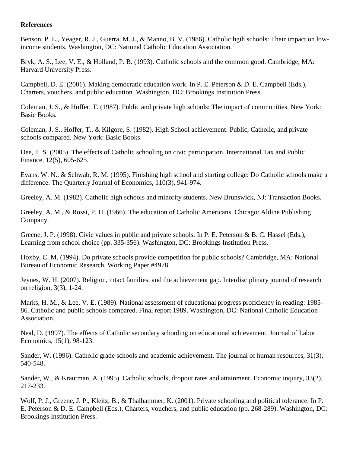#### **References**

Benson, P. L., Yeager, R. J., Guerra, M. J., & Manno, B. V. (1986). Catholic hgih schools: Their impact on lowincome students. Washington, DC: National Catholic Education Association.

Bryk, A. S., Lee, V. E., & Holland, P. B. (1993). Catholic schools and the common good. Cambridge, MA: Harvard University Press.

Campbell, D. E. (2001). Making democratic education work. In P. E. Peterson & D. E. Campbell (Eds.), Charters, vouchers, and public education. Washington, DC: Brookings Institution Press.

Coleman, J. S., & Hoffer, T. (1987). Public and private high schools: The impact of communities. New York: Basic Books.

Coleman, J. S., Hoffer, T., & Kilgore, S. (1982). High School achievement: Public, Catholic, and private schools compared. New York: Basic Books.

Dee, T. S. (2005). The effects of Catholic schooling on civic participation. International Tax and Public Finance, 12(5), 605-625.

Evans, W. N., & Schwab, R. M. (1995). Finishing high school and starting college: Do Catholic schools make a difference. The Quarterly Journal of Economics, 110(3), 941-974.

Greeley, A. M. (1982). Catholic high schools and minority students. New Brunswick, NJ: Transaction Books.

Greeley, A. M., & Rossi, P. H. (1966). The education of Catholic Americans. Chicago: Aldine Publishing Company.

Greene, J. P. (1998). Civic values in public and private schools. In P. E. Peterson & B. C. Hassel (Eds.), Learning from school choice (pp. 335-356). Washington, DC: Brookings Institution Press.

Hoxby, C. M. (1994). Do private schools provide competition for public schools? Cambridge, MA: National Bureau of Economic Research, Working Paper #4978.

Jeynes, W. H. (2007). Religion, intact families, and the achievement gap. Interdisciplinary journal of research on religion, 3(3), 1-24.

Marks, H. M., & Lee, V. E. (1989). National assessment of educational progress proficiency in reading: 1985-86. Catholic and public schools compared. Final report 1989. Washington, DC: National Catholic Education Association.

Neal, D. (1997). The effects of Catholic secondary schooling on educational achievement. Journal of Labor Economics, 15(1), 98-123.

Sander, W. (1996). Catholic grade schools and academic achievement. The journal of human resources, 31(3), 540-548.

Sander, W., & Krautman, A. (1995). Catholic schools, dropout rates and attainment. Economic inquiry, 33(2), 217-233.

Wolf, P. J., Greene, J. P., Kleitz, B., & Thalhammer, K. (2001). Private schooling and political tolerance. In P. E. Peterson & D. E. Campbell (Eds.), Charters, vouchers, and public education (pp. 268-289). Washington, DC: Brookings Institution Press.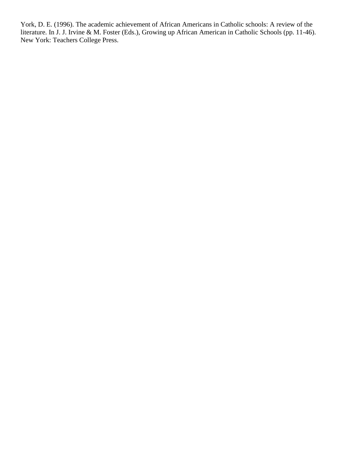York, D. E. (1996). The academic achievement of African Americans in Catholic schools: A review of the literature. In J. J. Irvine & M. Foster (Eds.), Growing up African American in Catholic Schools (pp. 11-46). New York: Teachers College Press.